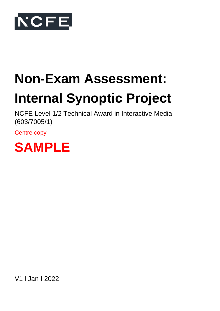

# **Non-Exam Assessment:**

# **Internal Synoptic Project**

NCFE Level 1/2 Technical Award in Interactive Media (603/7005/1)

Centre copy



V1 l Jan I 2022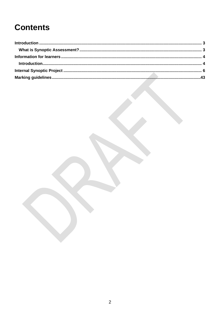# **Contents**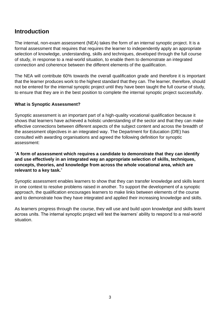# <span id="page-2-0"></span>**Introduction**

The internal, non-exam assessment (NEA) takes the form of an internal synoptic project. It is a formal assessment that requires that requires the learner to independently apply an appropriate selection of knowledge, understanding, skills and techniques, developed through the full course of study, in response to a real-world situation, to enable them to demonstrate an integrated connection and coherence between the different elements of the qualification.

The NEA will contribute 60% towards the overall qualification grade and therefore it is important that the learner produces work to the highest standard that they can. The learner, therefore, should not be entered for the internal synoptic project until they have been taught the full course of study, to ensure that they are in the best position to complete the internal synoptic project successfully.

# <span id="page-2-1"></span>**What is Synoptic Assessment?**

Synoptic assessment is an important part of a high-quality vocational qualification because it shows that learners have achieved a holistic understanding of the sector and that they can make effective connections between different aspects of the subject content and across the breadth of the assessment objectives in an integrated way. The Department for Education (DfE) has consulted with awarding organisations and agreed the following definition for synoptic assessment:

"**A form of assessment which requires a candidate to demonstrate that they can identify and use effectively in an integrated way an appropriate selection of skills, techniques, concepts, theories, and knowledge from across the whole vocational area, which are relevant to a key task.**"

Synoptic assessment enables learners to show that they can transfer knowledge and skills learnt in one context to resolve problems raised in another. To support the development of a synoptic approach, the qualification encourages learners to make links between elements of the course and to demonstrate how they have integrated and applied their increasing knowledge and skills.

As learners progress through the course, they will use and build upon knowledge and skills learnt across units. The internal synoptic project will test the learners' ability to respond to a real-world situation.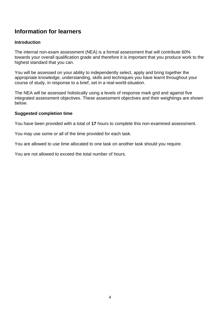# <span id="page-3-0"></span>**Information for learners**

# <span id="page-3-1"></span>**Introduction**

The internal non-exam assessment (NEA) is a formal assessment that will contribute 60% towards your overall qualification grade and therefore it is important that you produce work to the highest standard that you can.

You will be assessed on your ability to independently select, apply and bring together the appropriate knowledge, understanding, skills and techniques you have learnt throughout your course of study, in response to a brief, set in a real-world-situation.

The NEA will be assessed holistically using a levels of response mark grid and against five integrated assessment objectives. These assessment objectives and their weightings are shown below.

#### **Suggested completion time**

You have been provided with a total of **17** hours to complete this non-examined assessment.

You may use some or all of the time provided for each task.

You are allowed to use time allocated to one task on another task should you require.

You are not allowed to exceed the total number of hours.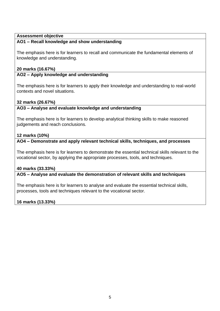# **Assessment objective**

# **AO1 – Recall knowledge and show understanding**

The emphasis here is for learners to recall and communicate the fundamental elements of knowledge and understanding.

# **20 marks (16.67%)**

# **AO2 – Apply knowledge and understanding**

The emphasis here is for learners to apply their knowledge and understanding to real-world contexts and novel situations.

# **32 marks (26.67%)**

# **AO3 – Analyse and evaluate knowledge and understanding**

The emphasis here is for learners to develop analytical thinking skills to make reasoned judgements and reach conclusions.

# **12 marks (10%)**

**AO4 – Demonstrate and apply relevant technical skills, techniques, and processes** 

The emphasis here is for learners to demonstrate the essential technical skills relevant to the vocational sector, by applying the appropriate processes, tools, and techniques.

# **40 marks (33.33%)**

**AO5 – Analyse and evaluate the demonstration of relevant skills and techniques**

The emphasis here is for learners to analyse and evaluate the essential technical skills, processes, tools and techniques relevant to the vocational sector.

# **16 marks (13.33%)**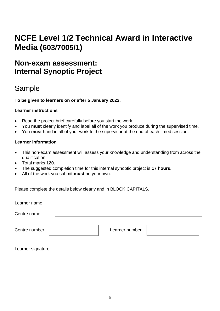# **NCFE Level 1/2 Technical Award in Interactive Media (603/7005/1)**

# <span id="page-5-0"></span>**Non-exam assessment: Internal Synoptic Project**

# Sample

**To be given to learners on or after 5 January 2022.**

# **Learner instructions**

- Read the project brief carefully before you start the work.
- You **must** clearly identify and label all of the work you produce during the supervised time.
- You **must** hand in all of your work to the supervisor at the end of each timed session.

# **Learner information**

- This non-exam assessment will assess your knowledge and understanding from across the qualification.
- Total marks **120.**
- The suggested completion time for this internal synoptic project is **17 hours**.
- All of the work you submit **must** be your own.

Please complete the details below clearly and in BLOCK CAPITALS.

| Learner name      |                |  |
|-------------------|----------------|--|
| Centre name       |                |  |
| Centre number     | Learner number |  |
|                   |                |  |
| Learner signature |                |  |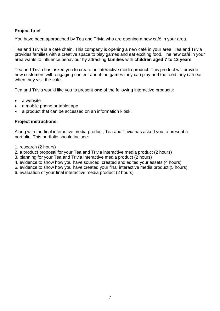# **Project brief**

You have been approached by Tea and Trivia who are opening a new café in your area.

Tea and Trivia is a café chain. This company is opening a new café in your area. Tea and Trivia provides families with a creative space to play games and eat exciting food. The new café in your area wants to influence behaviour by attracting **families** with **children aged 7 to 12 years**.

Tea and Trivia has asked you to create an interactive media product. This product will provide new customers with engaging content about the games they can play and the food they can eat when they visit the cafe.

Tea and Trivia would like you to present **one** of the following interactive products:

- a website
- a mobile phone or tablet app
- a product that can be accessed on an information kiosk.

# **Project instructions:**

Along with the final interactive media product, Tea and Trivia has asked you to present a portfolio. This portfolio should include:

- 1. research (2 hours)
- 2. a product proposal for your Tea and Trivia interactive media product (2 hours)
- 3. planning for your Tea and Trivia interactive media product (2 hours)
- 4. evidence to show how you have sourced, created and edited your assets (4 hours)
- 5. evidence to show how you have created your final interactive media product (5 hours)
- 6. evaluation of your final interactive media product (2 hours)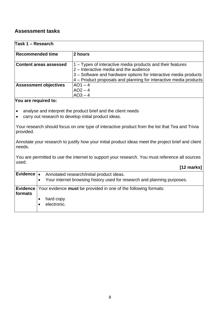# **Assessment tasks**

| Task 1 – Research             |                                                                                                                                                                                                                                               |  |
|-------------------------------|-----------------------------------------------------------------------------------------------------------------------------------------------------------------------------------------------------------------------------------------------|--|
| <b>Recommended time</b>       | 2 hours                                                                                                                                                                                                                                       |  |
| <b>Content areas assessed</b> | 1 – Types of interactive media products and their features<br>2 – Interactive media and the audience<br>3 – Software and hardware options for interactive media products<br>4 – Product proposals and planning for interactive media products |  |
| <b>Assessment objectives</b>  | $AO1 - 4$<br>$AO2 - 4$<br>$AO3 - 4$                                                                                                                                                                                                           |  |

#### **You are required to:**

- analyse and interpret the product brief and the client needs
- carry out research to develop initial product ideas.

Your research should focus on one type of interactive product from the list that Tea and Trivia provided.

Annotate your research to justify how your initial product ideas meet the project brief and client needs.

You are permitted to use the internet to support your research. You must reference all sources used.

 **[12 marks]**

| Evidence $\vert \bullet \vert$<br>Annotated research/initial product ideas.<br>Your internet browsing history used for research and planning purposes.<br>$\bullet$ |
|---------------------------------------------------------------------------------------------------------------------------------------------------------------------|
| <b>Evidence</b> Your evidence <b>must</b> be provided in one of the following formats:                                                                              |
|                                                                                                                                                                     |
| hard copy                                                                                                                                                           |
| electronic.                                                                                                                                                         |
|                                                                                                                                                                     |
|                                                                                                                                                                     |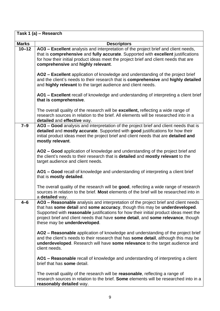|              | Task 1 (a) - Research                                                                                                                                                                                                                                                                                                                                                         |
|--------------|-------------------------------------------------------------------------------------------------------------------------------------------------------------------------------------------------------------------------------------------------------------------------------------------------------------------------------------------------------------------------------|
| <b>Marks</b> | <b>Descriptors</b>                                                                                                                                                                                                                                                                                                                                                            |
| $10 - 12$    | AO3 - Excellent analysis and interpretation of the project brief and client needs,<br>that is comprehensive and fully accurate. Supported with excellent justifications<br>for how their initial product ideas meet the project brief and client needs that are<br>comprehensive and highly relevant.                                                                         |
|              | AO2 – Excellent application of knowledge and understanding of the project brief<br>and the client's needs to their research that is comprehensive and highly detailed<br>and highly relevant to the target audience and client needs.                                                                                                                                         |
|              | AO1 – Excellent recall of knowledge and understanding of interpreting a client brief<br>that is comprehensive.                                                                                                                                                                                                                                                                |
|              | The overall quality of the research will be excellent, reflecting a wide range of<br>research sources in relation to the brief. All elements will be researched into in a<br>detailed and effective way.                                                                                                                                                                      |
| $7 - 9$      | AO3 - Good analysis and interpretation of the project brief and client needs that is<br>detailed and mostly accurate. Supported with good justifications for how their<br>initial product ideas meet the project brief and client needs that are detailed and<br>mostly relevant.                                                                                             |
|              | AO2 – Good application of knowledge and understanding of the project brief and<br>the client's needs to their research that is detailed and mostly relevant to the<br>target audience and client needs.                                                                                                                                                                       |
|              | AO1 – Good recall of knowledge and understanding of interpreting a client brief<br>that is mostly detailed.                                                                                                                                                                                                                                                                   |
|              | The overall quality of the research will be good, reflecting a wide range of research<br>sources in relation to the brief. Most elements of the brief will be researched into in<br>a <b>detailed</b> way.                                                                                                                                                                    |
| $4 - 6$      | AO3 - Reasonable analysis and interpretation of the project brief and client needs<br>that has some detail and some accuracy, though this may be underdeveloped.<br>Supported with reasonable justifications for how their initial product ideas meet the<br>project brief and client needs that have some detail, and some relevance, though<br>these may be underdeveloped. |
|              | AO2 - Reasonable application of knowledge and understanding of the project brief<br>and the client's needs to their research that has some detail, although this may be<br>underdeveloped. Research will have some relevance to the target audience and<br>client needs.                                                                                                      |
|              | AO1 – Reasonable recall of knowledge and understanding of interpreting a client<br>brief that has some detail.                                                                                                                                                                                                                                                                |
|              | The overall quality of the research will be <b>reasonable</b> , reflecting a range of<br>research sources in relation to the brief. Some elements will be researched into in a<br>reasonably detailed way.                                                                                                                                                                    |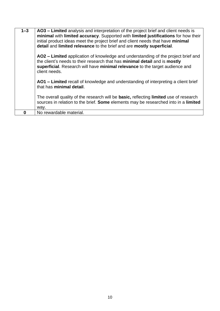| O       | No rewardable material.                                                                                                                                                                                                                                                                                                              |
|---------|--------------------------------------------------------------------------------------------------------------------------------------------------------------------------------------------------------------------------------------------------------------------------------------------------------------------------------------|
|         | way.                                                                                                                                                                                                                                                                                                                                 |
|         | The overall quality of the research will be basic, reflecting limited use of research<br>sources in relation to the brief. Some elements may be researched into in a limited                                                                                                                                                         |
|         | AO1 – Limited recall of knowledge and understanding of interpreting a client brief<br>that has minimal detail.                                                                                                                                                                                                                       |
|         | AO2 – Limited application of knowledge and understanding of the project brief and<br>the client's needs to their research that has minimal detail and is mostly<br>superficial. Research will have minimal relevance to the target audience and<br>client needs.                                                                     |
| $1 - 3$ | AO3 - Limited analysis and interpretation of the project brief and client needs is<br>minimal with limited accuracy. Supported with limited justifications for how their<br>initial product ideas meet the project brief and client needs that have minimal<br>detail and limited relevance to the brief and are mostly superficial. |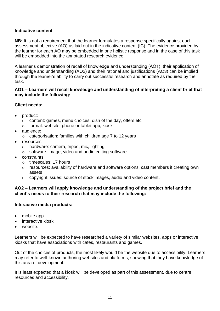# **Indicative content**

**NB:** It is not a requirement that the learner formulates a response specifically against each assessment objective (AO) as laid out in the indicative content (IC). The evidence provided by the learner for each AO may be embedded in one holistic response and in the case of this task will be embedded into the annotated research evidence.

A learner's demonstration of recall of knowledge and understanding (AO1), their application of knowledge and understanding (AO2) and their rational and justifications (AO3) can be implied through the learner's ability to carry out successful research and annotate as required by the task.

# **AO1 – Learners will recall knowledge and understanding of interpreting a client brief that may include the following:**

# **Client needs:**

- product:
	- o content: games, menu choices, dish of the day, offers etc
	- o format: website, phone or tablet app, kiosk
- audience:
	- o categorisation: families with children age 7 to 12 years
- resources:
	- o hardware: camera, tripod, mic, lighting
	- o software: image, video and audio editing software
- constraints:
	- o timescales: 17 hours
	- o resources: availability of hardware and software options, cast members if creating own assets
	- o copyright issues: source of stock images, audio and video content.

# **AO2 – Learners will apply knowledge and understanding of the project brief and the client's needs to their research that may include the following:**

# **Interactive media products:**

- mobile app
- interactive kiosk
- website.

Learners will be expected to have researched a variety of similar websites, apps or interactive kiosks that have associations with cafés, restaurants and games.

Out of the choices of products, the most likely would be the website due to accessibility. Learners may refer to well-known authoring websites and platforms, showing that they have knowledge of this area of development.

It is least expected that a kiosk will be developed as part of this assessment, due to centre resources and accessibility.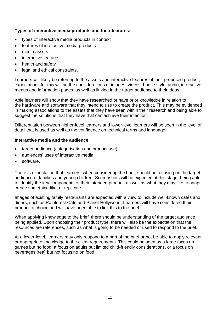# **Types of interactive media products and their features:**

- types of interactive media products in context
- features of interactive media products
- media assets
- interactive features
- health and safety
- legal and ethical constraints.

Learners will likely be referring to the assets and interactive features of their proposed product; expectations for this will be the considerations of images, videos, house style, audio, interactive, menus and information pages, as well as linking in the target audience to their ideas.

Able learners will show that they have researched or have prior knowledge in relation to the hardware and software that they intend to use to create the product. This may be evidenced in making associations to the assets that they have seen within their research and being able to suggest the solutions that they have that can achieve their intention.

Differentiation between higher-level learners and lower-level learners will be seen in the level of detail that is used as well as the confidence on technical terms and language.

# **Interactive media and the audience:**

- target audience (categorisation and product use)
- audiences' uses of interactive media
- software.

There is expectation that learners, when considering the brief, should be focusing on the target audience of families and young children. Screenshots will be expected at this stage, being able to identify the key components of their intended product, as well as what they may like to adapt, create something like, or replicate.

Images of existing family restaurants are expected with a view to include well-known cafés and diners, such as Rainforest Café and Planet Hollywood. Learners will have considered their product of choice and will have been able to link this to the brief.

When applying knowledge to the brief, there should be understanding of the target audience being applied. Upon choosing their product type, there will also be the expectation that the resources are references, such as what is going to be needed or used to respond to the brief.

At a lower-level, learners may only respond to a part of the brief or not be able to apply relevant or appropriate knowledge to the client requirements. This could be seen as a large focus on games but no food, a focus on adults but limited child-friendly considerations, or a focus on beverages (tea) but not focusing on food.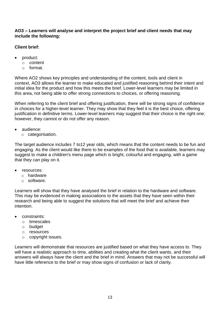# **AO3 – Learners will analyse and interpret the project brief and client needs that may include the following:**

# **Client brief:**

- product:
	- o content
	- o format.

Where AO2 shows key principles and understanding of the content, tools and client in context, AO3 allows the learner to make educated and justified reasoning behind their intent and initial idea for the product and how this meets the brief. Lower-level learners may be limited in this area, not being able to offer strong connections to choices, or offering reasoning.

When referring to the client brief and offering justification, there will be strong signs of confidence in choices for a higher-level learner. They may show that they feel it is the best choice, offering justification in definitive terms. Lower-level learners may suggest that their choice is the right one; however, they cannot or do not offer any reason.

- audience:
	- o categorisation.

The target audience includes 7 to12 year olds, which means that the content needs to be fun and engaging. As the client would like there to be examples of the food that is available, learners may suggest to make a children's menu page which is bright, colourful and engaging, with a game that they can play on it.

- resources:
	- o hardware
	- o software.

Learners will show that they have analysed the brief in relation to the hardware and software. This may be evidenced in making associations to the assets that they have seen within their research and being able to suggest the solutions that will meet the brief and achieve their intention.

- constraints:
	- o timescales
	- o budget
	- o resources
	- o copyright issues.

Learners will demonstrate that resources are justified based on what they have access to. They will have a realistic approach to time, abilities and creating what the client wants, and their answers will always have the client and the brief in mind. Answers that may not be successful will have little reference to the brief or may show signs of confusion or lack of clarity.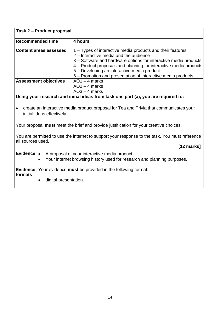| Task 2 - Product proposal                                                                                            |                                                                                        |                                                                                                                                                                                                                                                                                                                                                              |  |
|----------------------------------------------------------------------------------------------------------------------|----------------------------------------------------------------------------------------|--------------------------------------------------------------------------------------------------------------------------------------------------------------------------------------------------------------------------------------------------------------------------------------------------------------------------------------------------------------|--|
| <b>Recommended time</b>                                                                                              |                                                                                        | 4 hours                                                                                                                                                                                                                                                                                                                                                      |  |
|                                                                                                                      | <b>Content areas assessed</b>                                                          | 1 – Types of interactive media products and their features<br>2 - Interactive media and the audience<br>3 - Software and hardware options for interactive media products<br>4 - Product proposals and planning for interactive media products<br>5 - Developing an interactive media product<br>6 – Promotion and presentation of interactive media products |  |
|                                                                                                                      | <b>Assessment objectives</b><br>$AO1 - 4$ marks<br>$AO2 - 4$ marks<br>$AO3 - 4$ marks  |                                                                                                                                                                                                                                                                                                                                                              |  |
|                                                                                                                      |                                                                                        | Using your research and initial ideas from task one part (a), you are required to:                                                                                                                                                                                                                                                                           |  |
| create an interactive media product proposal for Tea and Trivia that communicates your<br>initial ideas effectively. |                                                                                        |                                                                                                                                                                                                                                                                                                                                                              |  |
|                                                                                                                      | Your proposal must meet the brief and provide justification for your creative choices. |                                                                                                                                                                                                                                                                                                                                                              |  |
| You are permitted to use the internet to support your response to the task. You must reference                       |                                                                                        |                                                                                                                                                                                                                                                                                                                                                              |  |
| all sources used.                                                                                                    |                                                                                        | $[12 \text{ marks}]$                                                                                                                                                                                                                                                                                                                                         |  |
| Evidence   .                                                                                                         | $\bullet$                                                                              | A proposal of your interactive media product.<br>Your internet browsing history used for research and planning purposes.                                                                                                                                                                                                                                     |  |
| formats                                                                                                              |                                                                                        | <b>Evidence</b> Your evidence must be provided in the following format:                                                                                                                                                                                                                                                                                      |  |
|                                                                                                                      | digital presentation.<br>$\bullet$                                                     |                                                                                                                                                                                                                                                                                                                                                              |  |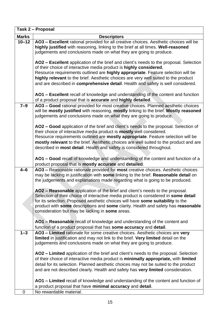|              | Task 2 - Proposal                                                                                                                                                                                                                                                                                                                                                                               |
|--------------|-------------------------------------------------------------------------------------------------------------------------------------------------------------------------------------------------------------------------------------------------------------------------------------------------------------------------------------------------------------------------------------------------|
| <b>Marks</b> | <b>Descriptors</b>                                                                                                                                                                                                                                                                                                                                                                              |
| $10 - 12$    | AO3 - Excellent rational provided for all creative choices. Aesthetic choices will be<br>highly justified with reasoning, linking to the brief at all times. Well-reasoned<br>judgements and conclusions made on what they are going to produce.                                                                                                                                                |
|              |                                                                                                                                                                                                                                                                                                                                                                                                 |
|              | AO2 - Excellent application of the brief and client's needs to the proposal. Selection<br>of their choice of interactive media product is highly considered,                                                                                                                                                                                                                                    |
|              | Resource requirements outlined are highly appropriate. Feature selection will be                                                                                                                                                                                                                                                                                                                |
|              | highly relevant to the brief. Aesthetic choices are very well suited to the product<br>and are described in comprehensive detail. Health and safety is well considered.                                                                                                                                                                                                                         |
|              | AO1 - Excellent recall of knowledge and understanding of the content and function<br>of a product proposal that is accurate and highly detailed.                                                                                                                                                                                                                                                |
| $7 - 9$      | AO3 - Good rational provided for most creative choices. Planned aesthetic choices<br>will be mostly justified with reasoning, mostly linking to the brief. Mostly reasoned<br>judgements and conclusions made on what they are going to produce.                                                                                                                                                |
|              | AO2 - Good application of the brief and client's needs to the proposal. Selection of<br>their choice of interactive media product is <b>mostly</b> well considered.                                                                                                                                                                                                                             |
|              | Resource requirements outlined are mostly appropriate. Feature selection will be                                                                                                                                                                                                                                                                                                                |
|              | mostly relevant to the brief. Aesthetic choices are well suited to the product and are                                                                                                                                                                                                                                                                                                          |
|              | described in most detail. Health and safety is considered throughout.                                                                                                                                                                                                                                                                                                                           |
|              | AO1 - Good recall of knowledge and understanding of the content and function of a<br>product proposal that is mostly accurate and detailed.                                                                                                                                                                                                                                                     |
| $4 - 6$      | AO3 - Reasonable rationale provided for most creative choices. Aesthetic choices<br>may be lacking in justification with some linking to the brief. Reasonable detail on<br>the judgements and explanations made regarding what is going to be produced.                                                                                                                                        |
|              | AO2 - Reasonable application of the brief and client's needs to the proposal.<br>Selection of their choice of interactive media product is considered in some detail<br>for its selection. Proposed aesthetic choices will have some suitability to the<br>product with some descriptions and some clarity. Health and safety has reasonable<br>consideration but may be lacking in some areas. |
|              | AO1 – Reasonable recall of knowledge and understanding of the content and                                                                                                                                                                                                                                                                                                                       |
|              | function of a product proposal that has some accuracy and detail.                                                                                                                                                                                                                                                                                                                               |
| $1 - 3$      | AO3 - Limited rationale for some creative choices. Aesthetic choices are very<br>limited in justification and may not link to the brief. Very limited detail on the<br>judgements and conclusions made on what they are going to produce.                                                                                                                                                       |
|              |                                                                                                                                                                                                                                                                                                                                                                                                 |
|              | AO2 – Limited application of the brief and client's needs to the proposal. Selection                                                                                                                                                                                                                                                                                                            |
|              | of their choice of interactive media product is minimally appropriate, with limited                                                                                                                                                                                                                                                                                                             |
|              | detail for its selection. Planned aesthetic choices may not be suited to the product<br>and are not described clearly. Health and safety has very limited consideration.                                                                                                                                                                                                                        |
|              | AO1 – Limited recall of knowledge and understanding of the content and function of                                                                                                                                                                                                                                                                                                              |
|              | a product proposal that have minimal accuracy and detail.                                                                                                                                                                                                                                                                                                                                       |
| $\mathbf 0$  | No rewardable material.                                                                                                                                                                                                                                                                                                                                                                         |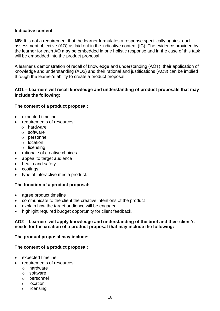#### **Indicative content**

**NB:** It is not a requirement that the learner formulates a response specifically against each assessment objective (AO) as laid out in the indicative content (IC). The evidence provided by the learner for each AO may be embedded in one holistic response and in the case of this task will be embedded into the product proposal.

A learner's demonstration of recall of knowledge and understanding (AO1), their application of knowledge and understanding (AO2) and their rational and justifications (AO3) can be implied through the learner's ability to create a product proposal.

# **AO1 – Learners will recall knowledge and understanding of product proposals that may include the following:**

#### **The content of a product proposal:**

- expected timeline
- requirements of resources:
	- o hardware
	- o software
	- o personnel
	- o location
	- o licensing
- rationale of creative choices
- appeal to target audience
- health and safety
- costings
- type of interactive media product.

#### **The function of a product proposal:**

- agree product timeline
- communicate to the client the creative intentions of the product
- explain how the target audience will be engaged
- highlight required budget opportunity for client feedback.

#### **AO2 – Learners will apply knowledge and understanding of the brief and their client's needs for the creation of a product proposal that may include the following:**

#### **The product proposal may include:**

#### **The content of a product proposal:**

- expected timeline
- requirements of resources:
	- o hardware
	- o software
	- o personnel
	- o location
	- o licensing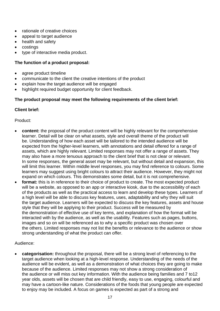- rationale of creative choices
- appeal to target audience
- health and safety
- costings
- type of interactive media product.

# **The function of a product proposal:**

- agree product timeline
- communicate to the client the creative intentions of the product
- explain how the target audience will be engaged
- highlight required budget opportunity for client feedback.

# **The product proposal may meet the following requirements of the client brief:**

# **Client brief:**

Product:

- **content:** the proposal of the product content will be highly relevant for the comprehensive learner. Detail will be clear on what assets, style and overall theme of the product will be. Understanding of how each asset will be tailored to the intended audience will be expected from the higher-level learners, with annotations and detail offered for a range of assets, which are highly relevant. Limited responses may not offer a range of assets. They may also have a more tenuous approach to the client brief that is not clear or relevant. In some responses, the general asset may be relevant, but without detail and expansion, this will limit this learner. Within middle level responses, you may find reference to colours. Some learners may suggest using bright colours to attract their audience. However, they might not expand on which colours. This demonstrates some detail, but it is not comprehensive.
- **format:** this is in reference to their choice of product to create. The most expected product will be a website, as opposed to an app or interactive kiosk, due to the accessibility of each of the products as well as the practical access to learn and develop these types. Learners of a high level will be able to discuss key features, uses, adaptability and why they will suit the target audience. Learners will be expected to discuss the key features, assets and house style that they will be applying to their product. Success will be measured by the demonstration of effective use of key terms, and explanation of how the format will be interacted with by the audience, as well as the usability. Features such as pages, buttons, images and so on will be referenced as to why a specific product was chosen over the others. Limited responses may not list the benefits or relevance to the audience or show strong understanding of what the product can offer.

# Audience:

• **categorisation:** throughout the proposal, there will be a strong level of referencing to the target audience when looking at a high-level response. Understanding of the needs of the audience will be evident, as well as a demonstration of what choices they are going to make because of the audience. Limited responses may not show a strong consideration of the audience or will miss out key information. With the audience being families and 7 to12 year olds, assets will be chosen that are child friendly, easy to use, engaging, colourful and may have a cartoon-like nature. Considerations of the foods that young people are expected to enjoy may be included. A focus on games is expected as part of a strong and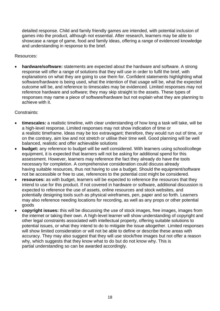detailed response. Child and family friendly games are intended, with potential inclusion of games into the product, although not essential. After research, learners may be able to showcase a range of game, food and family ideas, offering a range of evidenced knowledge and understanding in response to the brief.

Resources:

• **hardware/software:** statements are expected about the hardware and software. A strong response will offer a range of solutions that they will use in order to fulfil the brief, with explanations on what they are going to use them for. Confident statements highlighting what software/hardware is being used, what the intention of that usage will be, what the expected outcome will be, and reference to timescales may be evidenced. Limited responses may not reference hardware and software; they may skip straight to the assets. These types of responses may name a piece of software/hardware but not explain what they are planning to achieve with it.

Constraints:

- **timescales:** a realistic timeline, with clear understanding of how long a task will take, will be a high-level response. Limited responses may not show indication of time or a realistic timeframe. Ideas may be too extravagant; therefore, they would run out of time, or on the contrary, aim low and not stretch or utilise their time well. Good planning will be well balanced, realistic and offer achievable solutions
- **budget:** any reference to budget will be well considered. With learners using school/college equipment, it is expected that learners will not be asking for additional spend for this assessment. However, learners may reference the fact they already do have the tools necessary for completion. A comprehensive consideration could discuss already having suitable resources, thus not having to use a budget. Should the equipment/software not be accessible or free to use, references to the potential cost might be considered.
- **resources:** as with budget, learners will be expected to reference the resources that they intend to use for this product. If not covered in hardware or software, additional discussion is expected to reference the use of assets, online resources and stock websites, and potentially designing tools such as physical wireframes, pen, paper and so forth. Learners may also reference needing locations for recording, as well as any props or other potential goods
- **copyright issues:** this will be discussing the use of stock images, free images, images from the internet or taking their own. A high-level learner will show understanding of copyright and other legal constraints associated with intellectual property, offering suitable solutions to potential issues, or what they intend to do to mitigate the issue altogether. Limited responses will show limited consideration or will not be able to define or describe these areas with accuracy. They may also suggest that they will use stock/free images but not offer a reason why, which suggests that they know what to do but do not know why. This is partial understanding so can be awarded accordingly.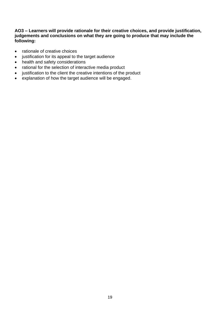#### **AO3 – Learners will provide rationale for their creative choices, and provide justification, judgements and conclusions on what they are going to produce that may include the following:**

- rationale of creative choices
- justification for its appeal to the target audience
- health and safety considerations
- rational for the selection of interactive media product
- justification to the client the creative intentions of the product
- explanation of how the target audience will be engaged.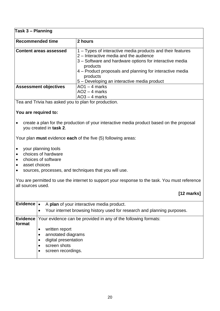# **Task 3 – Planning**

| Recommended time              | 2 hours                                                                                                                                                                                                                                                                                            |
|-------------------------------|----------------------------------------------------------------------------------------------------------------------------------------------------------------------------------------------------------------------------------------------------------------------------------------------------|
| <b>Content areas assessed</b> | 1 – Types of interactive media products and their features<br>2 – Interactive media and the audience<br>3 – Software and hardware options for interactive media<br>products<br>4 – Product proposals and planning for interactive media<br>products<br>5 – Developing an interactive media product |
| <b>Assessment objectives</b>  | $AO1 - 4$ marks<br>$AO2 - 4$ marks<br>$AO3 - 4$ marks                                                                                                                                                                                                                                              |

Tea and Trivia has asked you to plan for production.

# **You are required to:**

• create a plan for the production of your interactive media product based on the proposal you created in **task 2**.

Your plan **must** evidence **each** of the five (5) following areas:

- your planning tools
- choices of hardware
- choices of software
- asset choices
- sources, processes, and techniques that you will use.

You are permitted to use the internet to support your response to the task. You must reference all sources used.

# **[12 marks]**

| Evidence $\vert \bullet \vert$ | A plan of your interactive media product.                                                          |
|--------------------------------|----------------------------------------------------------------------------------------------------|
|                                | Your internet browsing history used for research and planning purposes.<br>$\bullet$               |
| format                         | <b>Evidence</b> Your evidence can be provided in any of the following formats:                     |
|                                | written report<br>annotated diagrams<br>digital presentation<br>screen shots<br>screen recordings. |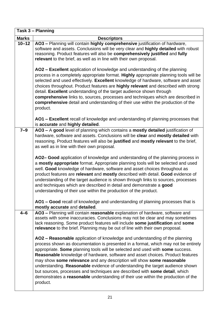|              | Task 3 – Planning                                                                                                                                                                                                                                                                                                                                                                                                                                                                                                                                                                                                                                                              |
|--------------|--------------------------------------------------------------------------------------------------------------------------------------------------------------------------------------------------------------------------------------------------------------------------------------------------------------------------------------------------------------------------------------------------------------------------------------------------------------------------------------------------------------------------------------------------------------------------------------------------------------------------------------------------------------------------------|
| <b>Marks</b> | <b>Descriptors</b>                                                                                                                                                                                                                                                                                                                                                                                                                                                                                                                                                                                                                                                             |
| $10 - 12$    | AO3 - Planning will contain highly comprehensive justification of hardware,<br>software and assets. Conclusions will be very clear and highly detailed with robust<br>reasoning. Product features will also be comprehensively justified and fully<br>relevant to the brief, as well as in line with their own proposal.                                                                                                                                                                                                                                                                                                                                                       |
|              | AO2 - Excellent application of knowledge and understanding of the planning<br>process in a completely appropriate format. Highly appropriate planning tools will be<br>selected and used effectively. Excellent knowledge of hardware, software and asset<br>choices throughout. Product features are highly relevant and described with strong<br>detail. Excellent understanding of the target audience shown through<br>comprehensive links to, sources, processes and techniques which are described in<br>comprehensive detail and understanding of their use within the production of the<br>product.                                                                    |
|              | AO1 - Excellent recall of knowledge and understanding of planning processes that<br>is accurate and highly detailed.                                                                                                                                                                                                                                                                                                                                                                                                                                                                                                                                                           |
| $7-9$        | AO3 - A good level of planning which contains a mostly detailed justification of<br>hardware, software and assets. Conclusions will be clear and mostly detailed with<br>reasoning. Product features will also be justified and mostly relevant to the brief,<br>as well as in line with their own proposal.                                                                                                                                                                                                                                                                                                                                                                   |
|              | AO2- Good application of knowledge and understanding of the planning process in<br>a mostly appropriate format. Appropriate planning tools will be selected and used<br>well. Good knowledge of hardware, software and asset choices throughout as<br>product features are relevant and mostly described with detail. Good evidence of<br>understanding of the target audience is shown through links to sources, processes<br>and techniques which are described in detail and demonstrate a good<br>understanding of their use within the production of the product.                                                                                                         |
|              | AO1 – Good recall of knowledge and understanding of planning processes that is<br>mostly accurate and detailed.                                                                                                                                                                                                                                                                                                                                                                                                                                                                                                                                                                |
| $4 - 6$      | AO3 - Planning will contain reasonable explanation of hardware, software and<br>assets with some inaccuracies. Conclusions may not be clear and may sometimes<br>lack reasoning. Some product features will include some justification and some<br>relevance to the brief. Planning may be out of line with their own proposal.                                                                                                                                                                                                                                                                                                                                                |
|              | AO2 – Reasonable application of knowledge and understanding of the planning<br>process shown as documentation is presented in a format, which may not be entirely<br>appropriate. Some planning tools will be selected and used with some success.<br>Reasonable knowledge of hardware, software and asset choices. Product features<br>may show some relevance and any description will show some reasonable<br>understanding. Reasonable evidence of understanding the target audience shown<br>but sources, processes and techniques are described with some detail, which<br>demonstrates a reasonable understanding of their use within the production of the<br>product. |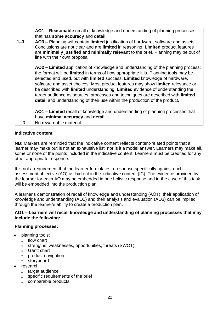|         | AO1 – Reasonable recall of knowledge and understanding of planning processes                                                                                                                                                                                                                                                                                                                                                                                                                                                                                                                   |
|---------|------------------------------------------------------------------------------------------------------------------------------------------------------------------------------------------------------------------------------------------------------------------------------------------------------------------------------------------------------------------------------------------------------------------------------------------------------------------------------------------------------------------------------------------------------------------------------------------------|
|         | that has some accuracy and detail.                                                                                                                                                                                                                                                                                                                                                                                                                                                                                                                                                             |
| $1 - 3$ | AO3 - Planning will contain limited justification of hardware, software and assets.<br>Conclusions are not clear and are limited in reasoning. Limited product features<br>are minimally justified and minimally relevant to the brief. Planning may be out of<br>line with their own proposal.                                                                                                                                                                                                                                                                                                |
|         | AO2 – Limited application of knowledge and understanding of the planning process;<br>the format will be limited in terms of how appropriate it is. Planning tools may be<br>selected and used, but with limited success. Limited knowledge of hardware,<br>software and asset choices. Most product features may show limited relevance or<br>be described with limited understanding. Limited evidence of understanding the<br>target audience as sources, processes and techniques are described with limited<br>detail and understanding of their use within the production of the product. |
|         | AO1 – Limited recall of knowledge and understanding of planning processes that<br>have minimal accuracy and detail.                                                                                                                                                                                                                                                                                                                                                                                                                                                                            |
| 0       | No rewardable material.                                                                                                                                                                                                                                                                                                                                                                                                                                                                                                                                                                        |

#### **Indicative content**

**NB:** Markers are reminded that the indicative content reflects content-related points that a learner may make but is not an exhaustive list, nor is it a model answer. Learners may make all, some or none of the points included in the indicative content. Learners must be credited for any other appropriate response.

It is not a requirement that the learner formulates a response specifically against each assessment objective (AO) as laid out in the indicative content (IC). The evidence provided by the learner for each AO may be embedded in one holistic response and in the case of this task will be embedded into the production plan.

A learner's demonstration of recall of knowledge and understanding (AO1), their application of knowledge and understanding (AO2) and their analysis and evaluation (AO3) can be implied through the learner's ability to create a production plan.

# **AO1 – Learners will recall knowledge and understanding of planning processes that may include the following:**

#### **Planning processes:**

- planning tools:
	- o flow chart
	- o strengths, weaknesses, opportunities, threats (SWOT)
	- o Gantt chart
	- o product navigation
	- o storyboard
- research:
	- o target audience
	- o specific requirements of the brief
	- o comparable products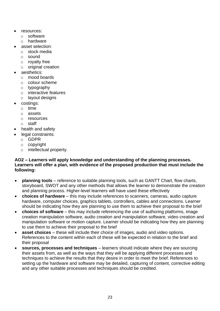- resources:
	- o software
	- o hardware
- asset selection:
	- o stock media
	- o sound
	- o royalty free
	- o original creation
- aesthetics:
	- o mood boards
	- o colour scheme
	- o typography
	- o interactive features
	- o layout designs
- costings:
	- o time
	- o assets
	- o resources
	- o staff
- health and safety
- legal constraints:
	- o GDPR
	- o copyright
	- o intellectual property.

#### **AO2 – Learners will apply knowledge and understanding of the planning processes. Learners will offer a plan, with evidence of the proposed production that must include the following:**

- **planning tools** reference to suitable planning tools, such as GANTT Chart, flow charts, storyboard, SWOT and any other methods that allows the learner to demonstrate the creation and planning process. Higher-level learners will have used these effectively
- **choices of hardware** this may include references to scanners, cameras, audio capture hardware, computer choices, graphics tablets, controllers, cables and connections. Learner should be indicating how they are planning to use them to achieve their proposal to the brief
- **choices of software** this may include referencing the use of authoring platforms, image creation manipulation software, audio creation and manipulation software, video creation and manipulation software or motion capture. Learner should be indicating how they are planning to use them to achieve their proposal to the brief
- **asset choices** these will include their choice of images, audio and video options. References to the content within each of these will be expected in relation to the brief and their proposal
- **sources, processes and techniques** learners should indicate where they are sourcing their assets from, as well as the ways that they will be applying different processes and techniques to achieve the results that they desire in order to meet the brief. References to setting up the hardware and software may be detailed, capturing of content, corrective editing and any other suitable processes and techniques should be credited.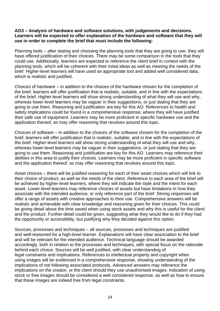#### **AO3 – Analysis of hardware and software solutions, with judgements and decisions. Learners will be expected to offer explanation of the hardware and software that they will use in order to complete the brief that must include the following:**

Planning tools – after stating and choosing the planning tools that they are going to use, they will have offered justification of their choices. There may be some comparison in the tools that they could use. Additionally, learners are expected to reference the client brief in context with the planning tools, which will be coherent with their initial ideas as well as meeting the needs of the brief. Higher-level learners will have used an appropriate tool and added well considered data, which is realistic and justified.

Choices of hardware – in addition to the choices of the hardware chosen for the completion of the brief, learners will offer justification that is realistic, suitable, and in line with the expectations of the brief. Higher-level learners will show strong understanding of what they will use and why, whereas lower-level learners may be vaguer in their suggestions, or just stating that they are going to use them. Reasoning and justification are key for this AO. References to health and safety implications could be found in a comprehensive response, where they will have justified their safe use of equipment. Learners may be more proficient in specific hardware use and the application thereof, so may offer reasoning that revolves around this topic.

Choices of software – in addition to the choices of the software chosen for the completion of the brief, learners will offer justification that is realistic, suitable, and in line with the expectations of the brief. Higher-level learners will show strong understanding of what they will use and why, whereas lower-level learners may be vaguer in their suggestions, or just stating that they are going to use them. Reasoning and justification are key for this AO. Learners may reference their abilities in this area to justify their choices. Learners may be more proficient in specific software and the application thereof, so may offer reasoning that revolves around this topic.

Asset choices – there will be justified reasoning for each of their asset choices which will link to their choice of product, as well as the needs of the client. Reference to each area of the brief will be achieved by higher-level learners, where they will indicate the style and the intent for each asset. Lower-level learners may reference choices of assets but have limitations in how they associate with the intended audience, or only reference part of the brief. Strong responses will offer a range of assets with creative approaches to their use. Comprehensive answers will be realistic and achievable with clear knowledge and reasoning given for their choices. This could be giving detail about the time saved when using stock assets and why this is useful for the client and the product. Further detail could be given, suggesting what they would like to do if they had the opportunity or accessibility, but justifying why they decided against this option.

Sources, processes and techniques – all sources, processes and techniques are justified and well-reasoned for a high-level learner. Explanations will have clear association to the brief and will be relevant for the intended audience. Technical language should be awarded accordingly, both in relation to the processes and techniques, with special focus on the rationale behind each choice. Sources will be well justified, with clear understanding of legal constraints and implications. References to intellectual property and copyright when using images will be evidenced in a comprehensive response, showing understanding of the implications of not following associated protocols. Advanced answers may reference the implications on the creator, or the client should they use unauthorised images. Indication of using stock or free images should be considered a well considered response, as well as how to ensure that these images are indeed free from legal constraints.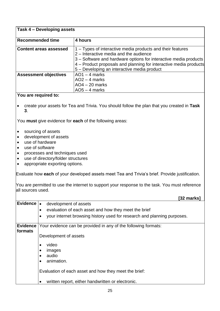#### **Task 4 – Developing assets**

| <b>Recommended time</b>       | 4 hours                                                                                                                                                                                                                                                                                              |
|-------------------------------|------------------------------------------------------------------------------------------------------------------------------------------------------------------------------------------------------------------------------------------------------------------------------------------------------|
| <b>Content areas assessed</b> | $\vert$ 1 – Types of interactive media products and their features<br>2 – Interactive media and the audience<br>3 – Software and hardware options for interactive media products<br>4 – Product proposals and planning for interactive media products<br>5 – Developing an interactive media product |
| <b>Assessment objectives</b>  | $AO1 - 4$ marks<br>$AO2 - 4$ marks<br>$AO4 - 20$ marks<br>$AO5 - 4$ marks                                                                                                                                                                                                                            |
|                               |                                                                                                                                                                                                                                                                                                      |

#### **You are required to:**

• create your assets for Tea and Trivia. You should follow the plan that you created in **Task 3**.

You **must** give evidence for **each** of the following areas:

- sourcing of assets
- development of assets
- use of hardware
- use of software
- processes and techniques used
- use of directory/folder structures
- appropriate exporting options.

Evaluate how **each** of your developed assets meet Tea and Trivia's brief. Provide justification.

You are permitted to use the internet to support your response to the task. You must reference all sources used.

|              | [32 marks]                                                                           |
|--------------|--------------------------------------------------------------------------------------|
| Evidence   . | development of assets                                                                |
|              | evaluation of each asset and how they meet the brief<br>$\bullet$                    |
|              | your internet browsing history used for research and planning purposes.<br>$\bullet$ |
| formats      | <b>Evidence</b> Your evidence can be provided in any of the following formats:       |
|              | Development of assets                                                                |
|              | video                                                                                |
|              | images<br>$\bullet$                                                                  |
|              | audio                                                                                |
|              | animation.<br>$\bullet$                                                              |
|              | Evaluation of each asset and how they meet the brief:                                |
|              | written report, either handwritten or electronic.                                    |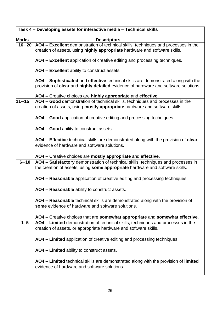|              | Task 4 - Developing assets for interactive media - Technical skills                                                                                                       |
|--------------|---------------------------------------------------------------------------------------------------------------------------------------------------------------------------|
| <b>Marks</b> | <b>Descriptors</b>                                                                                                                                                        |
| $16 - 20$    | AO4 - Excellent demonstration of technical skills, techniques and processes in the<br>creation of assets, using highly appropriate hardware and software skills.          |
|              | AO4 - Excellent application of creative editing and processing techniques.                                                                                                |
|              | AO4 - Excellent ability to construct assets.                                                                                                                              |
|              | AO4 – Sophisticated and effective technical skills are demonstrated along with the<br>provision of clear and highly detailed evidence of hardware and software solutions. |
|              | AO4 - Creative choices are highly appropriate and effective.                                                                                                              |
| $11 - 15$    | AO4 - Good demonstration of technical skills, techniques and processes in the<br>creation of assets, using <b>mostly appropriate</b> hardware and software skills.        |
|              | AO4 - Good application of creative editing and processing techniques.                                                                                                     |
|              | AO4 – Good ability to construct assets.                                                                                                                                   |
|              | AO4 – Effective technical skills are demonstrated along with the provision of clear                                                                                       |
|              | evidence of hardware and software solutions.                                                                                                                              |
|              | AO4 - Creative choices are mostly appropriate and effective.                                                                                                              |
| $6 - 10$     | AO4 - Satisfactory demonstration of technical skills, techniques and processes in<br>the creation of assets, using some appropriate hardware and software skills.         |
|              | AO4 - Reasonable application of creative editing and processing techniques.                                                                                               |
|              | AO4 - Reasonable ability to construct assets.                                                                                                                             |
|              | <b>AO4 – Reasonable</b> technical skills are demonstrated along with the provision of<br>some evidence of hardware and software solutions.                                |
|              | AO4 – Creative choices that are somewhat appropriate and somewhat effective.                                                                                              |
| $1 - 5$      | AO4 - Limited demonstration of technical skills, techniques and processes in the                                                                                          |
|              | creation of assets, or appropriate hardware and software skills.                                                                                                          |
|              | AO4 – Limited application of creative editing and processing techniques.                                                                                                  |
|              | AO4 - Limited ability to construct assets.                                                                                                                                |
|              | AO4 – Limited technical skills are demonstrated along with the provision of limited<br>evidence of hardware and software solutions.                                       |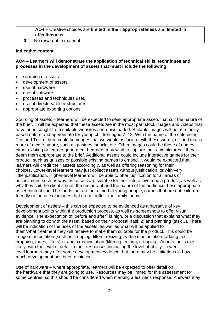| <b>AO4</b> - Creative choices are limited in their appropriateness and limited in |
|-----------------------------------------------------------------------------------|
| effectiveness.                                                                    |
| No rewardable material                                                            |

#### **Indicative content**

**AO4 – Learners will demonstrate the application of technical skills, techniques and processes in the development of assets that must include the following:**

- sourcing of assets
- development of assets
- use of hardware
- use of software
- processes and techniques used
- use of directory/folder structures
- appropriate exporting options.

Sourcing of assets – learners will be expected to seek appropriate assets that suit the nature of the brief. It will be expected that these assets are in the most part stock images and videos that have been sought from suitable websites and downloaded. Suitable images will be of a familybased nature and appropriate for young children aged 7–12. With the name of the café being Tea and Trivia, there could be images that we would associate with these words, or food that is more of a café nature, such as pastries, snacks etc. Other images could be those of games, either existing or learner generated. Learners may wish to capture their own pictures if they deem them appropriate to the brief. Additional assets could include interactive games for their product, such as quizzes or possible existing games to embed. It would be expected that learners will credit their assets accordingly, as well as offering reasoning for their choices. Lower-level learners may just collect assets without justification, or with very little justification. Higher-level learners will be able to offer justification for all areas of assessment, such as why the assets are suitable for their interactive media product, as well as why they suit the client's brief, the restaurant and the nature of the audience. Less appropriate asset content could be foods that are not aimed at young people, games that are not children friendly or the use of images that do not reflect the family theme.

Development of assets – this can be expected to be evidenced as a narrative of key development points within the production process, as well as screenshots to offer visual evidence. The expectation of 'before and after'' is high, or a discussion that explains what they are planning to do with the asset, based on their proposal (task 2) and planning (task 3). There will be indication of the uses of the assets, as well as what will be applied to them/what treatment they will receive to make them suitable for the product. This could be image manipulation (such as cropping, filters, resizing), video manipulation (adding text, cropping, fades, filters) or audio manipulation (filtering, editing, cropping). Annotation is most likely, with the level of detail in their responses indicating the level of ability. Lowerlevel learners may offer some development evidence, but there may be limitations in how much development has been achieved.

Use of hardware – where appropriate, learners will be expected to offer detail on the hardware that they are going to use. Resources may be limited for this assessment for some centres, so this should be considered when marking a learner's response. Answers may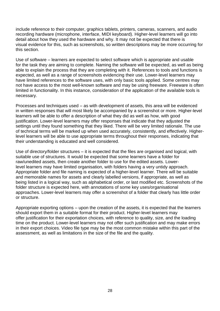include reference to their computer, graphics tablets, printers, cameras, scanners, and audio recording hardware (microphone, interface, MIDI keyboard). Higher-level learners will go into detail about how they used the hardware and why. It may not be expected that there is visual evidence for this, such as screenshots, so written descriptions may be more occurring for this section.

Use of software – learners are expected to select software which is appropriate and usable for the task they are aiming to complete. Naming the software will be expected, as well as being able to explain the process that they are completing with it. References to tools and functions is expected, as well as a range of screenshots evidencing their use. Lower-level learners may have limited references to the software uses, with only basic tools applied. Some centres may not have access to the most well-known software and may be using freeware. Freeware is often limited in functionality. In this instance, consideration of the application of the available tools is necessary.

Processes and techniques used – as with development of assets, this area will be evidenced in written responses that will most likely be accompanied by a screenshot or more. Higher-level learners will be able to offer a description of what they did as well as how, with good justification. Lower-level learners may offer responses that indicate that they adjusted the settings until they found something that they liked. There will be very limited rationale. The use of technical terms will be marked up when used accurately, consistently, and effectively. Higherlevel learners will be able to use appropriate terms throughout their responses, indicating that their understanding is educated and well considered.

Use of directory/folder structures – it is expected that the files are organised and logical, with suitable use of structures. It would be expected that some learners have a folder for raw/unedited assets, then create another folder to use for the edited assets. Lowerlevel learners may have limited organisation, with folders having a very untidy approach. Appropriate folder and file naming is expected of a higher-level learner. There will be suitable and memorable names for assets and clearly labelled versions, if appropriate, as well as being listed in a logical way, such as alphabetical order, or last modified etc. Screenshots of the folder structure is expected here, with annotations of some key uses/organisational approaches. Lower-level learners may offer a screenshot of a folder that clearly has little order or structure.

Appropriate exporting options – upon the creation of the assets, it is expected that the learners should export them in a suitable format for their product. Higher-level learners may offer justification for their exportation choices, with reference to quality, size, and the loading time on the product. Lower-level learners may not offer such justification and may make errors in their export choices. Video file type may be the most common mistake within this part of the assessment, as well as limitations in the size of the file and the quality.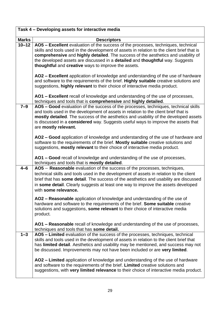|              | Task 4 - Developing assets for interactive media                                                                                                                                                                                                                                                                                                                                                                                  |
|--------------|-----------------------------------------------------------------------------------------------------------------------------------------------------------------------------------------------------------------------------------------------------------------------------------------------------------------------------------------------------------------------------------------------------------------------------------|
| <b>Marks</b> | <b>Descriptors</b>                                                                                                                                                                                                                                                                                                                                                                                                                |
| $10 - 12$    | AO5 - Excellent evaluation of the success of the processes, techniques, technical<br>skills and tools used in the development of assets in relation to the client brief that is<br>comprehensive and highly detailed. The success of the aesthetics and usability of<br>the developed assets are discussed in a detailed and thoughtful way. Suggests<br>thoughtful and creative ways to improve the assets.                      |
|              | AO2 - Excellent application of knowledge and understanding of the use of hardware<br>and software to the requirements of the brief. Highly suitable creative solutions and<br>suggestions, highly relevant to their choice of interactive media product.                                                                                                                                                                          |
|              | AO1 - Excellent recall of knowledge and understanding of the use of processes,<br>techniques and tools that is comprehensive and highly detailed.                                                                                                                                                                                                                                                                                 |
| $7-9$        | AO5 - Good evaluation of the success of the processes, techniques, technical skills<br>and tools used in the development of assets in relation to the client brief that is<br>mostly detailed. The success of the aesthetics and usability of the developed assets<br>is discussed in a <b>considered</b> way. Suggests useful ways to improve the assets that<br>are mostly relevant.                                            |
|              | AO2 – Good application of knowledge and understanding of the use of hardware and<br>software to the requirements of the brief. Mostly suitable creative solutions and<br>suggestions, mostly relevant to their choice of interactive media product.                                                                                                                                                                               |
|              | AO1 - Good recall of knowledge and understanding of the use of processes,<br>techniques and tools that is mostly detailed.                                                                                                                                                                                                                                                                                                        |
| $4 - 6$      | AO5 - Reasonable evaluation of the success of the processes, techniques,<br>technical skills and tools used in the development of assets in relation to the client<br>brief that has some detail. The success of the aesthetics and usability are discussed<br>in some detail. Clearly suggests at least one way to improve the assets developed<br>with some relevance.                                                          |
|              | AO2 – Reasonable application of knowledge and understanding of the use of<br>hardware and software to the requirements of the brief. Some suitable creative<br>solutions and suggestions, some relevant to their choice of interactive media<br>product.                                                                                                                                                                          |
|              | AO1 – Reasonable recall of knowledge and understanding of the use of processes,<br>techniques and tools that has some detail.                                                                                                                                                                                                                                                                                                     |
| $1 - 3$      | AO5 - Limited evaluation of the success of the processes, techniques, technical<br>skills and tools used in the development of assets in relation to the client brief that<br>has limited detail. Aesthetics and usability may be mentioned, and success may not<br>be discussed. Improvements may not have been included or are very limited.<br>AO2 - Limited application of knowledge and understanding of the use of hardware |
|              | and software to the requirements of the brief. Limited creative solutions and<br>suggestions, with very limited relevance to their choice of interactive media product.                                                                                                                                                                                                                                                           |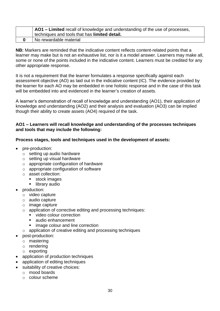| $\overline{A}$ AO1 – Limited recall of knowledge and understanding of the use of processes, |
|---------------------------------------------------------------------------------------------|
| techniques and tools that has limited detail.                                               |
| No rewardable material                                                                      |

**NB:** Markers are reminded that the indicative content reflects content-related points that a learner may make but is not an exhaustive list, nor is it a model answer. Learners may make all, some or none of the points included in the indicative content. Learners must be credited for any other appropriate response.

It is not a requirement that the learner formulates a response specifically against each assessment objective (AO) as laid out in the indicative content (IC). The evidence provided by the learner for each AO may be embedded in one holistic response and in the case of this task will be embedded into and evidenced in the learner's creation of assets.

A learner's demonstration of recall of knowledge and understanding (AO1), their application of knowledge and understanding (AO2) and their analysis and evaluation (AO3) can be implied though their ability to create assets (AO4) required of the task.

#### **AO1 – Learners will recall knowledge and understanding of the processes techniques and tools that may include the following:**

# **Process stages, tools and techniques used in the development of assets:**

- pre-production:
	- o setting up audio hardware
	- o setting up visual hardware
	- o appropriate configuration of hardware
	- $\circ$  appropriate configuration of software
	- o asset collection:
		- stock images
		- **·** library audio
- production:
	- o video capture
	- o audio capture
	- o image capture
	- o application of corrective editing and processing techniques:
		- **■** video colour correction
		- audio enhancement
		- image colour and line correction
	- o application of creative editing and processing techniques
- post-production:
	- o mastering
	- o rendering
	- o exporting
- application of production techniques
- application of editing techniques
- suitability of creative choices:
	- o mood boards
	- o colour scheme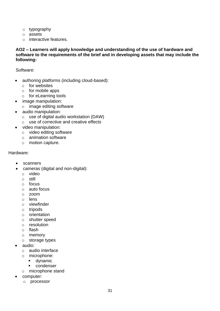- o typography
- o assets
- o interactive features.

#### **AO2 – Learners will apply knowledge and understanding of the use of hardware and software to the requirements of the brief and in developing assets that may include the following:**

Software:

- authoring platforms (including cloud-based):
	- o for websites
	- o for mobile apps
	- o for eLearning tools
- image manipulation:
	- o image editing software
- audio manipulation:
	- o use of digital audio workstation (DAW)
	- o use of corrective and creative effects
- video manipulation:
	- o video editing software
	- o animation software
	- o motion capture.

#### Hardware:

- scanners
- cameras (digital and non-digital):
	- o video
	- o still
	- o focus
	- o auto focus
	- o zoom
	- o lens
	- o viewfinder
	- o tripods
	- o orientation
	- o shutter speed
	- o resolution
	- o flash
	- o memory
	- o storage types
- audio:
	- o audio interface
	- o microphone:
		- dynamic
		- condenser
	- o microphone stand
- computer:
	- o processor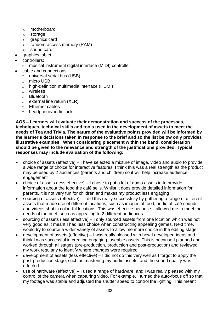- o motherboard
- o storage
- o graphics card
- o random-access memory (RAM)
- o sound card
- graphics tablet
- controllers:
	- o musical instrument digital interface (MIDI) controller
- cable and connections:
	- o universal serial bus (USB)
	- o micro USB
	- o high-definition multimedia interface (HDMI)
	- o wireless
	- o Bluetooth
	- o external line return (XLR)
	- o Ethernet cables
	- o headphone/audio jack.

**AO5 – Learners will evaluate their demonstration and success of the processes, techniques, technical skills and tools used in the development of assets to meet the needs of Tea and Trivia. The nature of the evaluative points provided will be informed by the learner's decisions taken in response to the brief and so the list below only provides illustrative examples. When considering placement within the band, consideration should be given to the relevance and strength of the justifications provided. Typical responses may include evaluation of the following:** 

- choice of assets (effective) I have selected a mixture of image, video and audio to provide a wide range of choice for interactive features. I think this was a real strength as the product may be used by 2 audiences (parents and children) so it will help increase audience engagement
- choice of assets (less effective) I chose to put a lot of audio assets in to provide information about the food the café sells. Whilst it does provide detailed information for parents, it is not very fun for children and makes my product less engaging
- sourcing of assets (effective) I did this really successfully by gathering a range of different assets that made use of different locations, such as images of food, audio of café sounds, and videos shot in colourful locations. This was effective because it allowed me to meet the needs of the brief, such as appealing to 2 different audiences
- sourcing of assets (less effective) I only sourced assets from one location which was not very good as it meant I had less choice when constructing appealing games. Next time, I would try to source a wider variety of assets to allow me more choice in the editing stage
- development of assets (effective) I was really pleased with how I developed ideas and think I was successful in creating engaging, useable assets. This is because I planned and worked through all stages (pre-production, production and post-production) and reviewed my work regularly to identify where changes were required
- development of assets (less effective) I did not do this very well as I forgot to apply the post-production stage, such as mastering my audio assets, and the sound quality was effected
- use of hardware (effective) I used a range of hardware, and I was really pleased with my control of the camera when capturing video. For example, I turned the auto-focus off so that my footage was stable and adjusted the shutter speed to control the lighting. This meant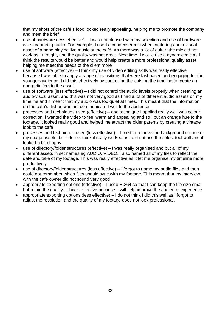that my shots of the café's food looked really appealing, helping me to promote the company and meet the brief

- use of hardware (less effective) I was not pleased with my selection and use of hardware when capturing audio. For example, I used a condenser mic when capturing audio-visual asset of a band playing live music at the café. As there was a lot of guitar, the mic did not work as I thought, and the quality was not great. Next time, I would use a dynamic mic as I think the results would be better and would help create a more professional quality asset, helping me meet the needs of the client more
- use of software (effective) I think my use of video editing skills was really effective because I was able to apply a range of transitions that were fast paced and engaging for the younger audience. I did this effectively by controlling the cuts on the timeline to create an energetic feel to the asset
- use of software (less effective) I did not control the audio levels properly when creating an audio-visual asset, and this was not very good as I had a lot of different audio assets on my timeline and it meant that my audio was too quiet at times. This meant that the information on the café's dishes was not communicated well to the audience
- processes and techniques used (effective) one technique I applied really well was colour correction. I wanted the video to feel warm and appealing and so I put an orange hue to the footage. It looked really good and helped me attract the older parents by creating a vintage look to the café
- processes and techniques used (less effective) I tried to remove the background on one of my image assets, but I do not think it really worked as I did not use the select tool well and it looked a bit choppy
- use of directory/folder structures (effective) I was really organised and put all of my different assets in set names eg AUDIO, VIDEO. I also named all of my files to reflect the date and take of my footage. This was really effective as it let me organise my timeline more productively
- use of directory/folder structures (less effective) I forgot to name my audio files and then could not remember which files should sync with my footage. This meant that my interview with the café owner did not sound very good
- appropriate exporting options (effective) I used H.264 so that I can keep the file size small but retain the quality. This is effective because it will help improve the audience experience
- appropriate exporting options (less effective) I do not think I did this well as I forgot to adjust the resolution and the quality of my footage does not look professional.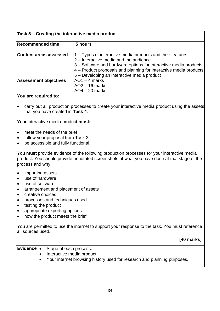# **Task 5 – Creating the interactive media product**

| <b>Recommended time</b>       | 5 hours                                                           |
|-------------------------------|-------------------------------------------------------------------|
|                               |                                                                   |
| <b>Content areas assessed</b> | 1 – Types of interactive media products and their features        |
|                               | 2 – Interactive media and the audience                            |
|                               | 3 – Software and hardware options for interactive media products  |
|                               | 4 - Product proposals and planning for interactive media products |
|                               | 5 – Developing an interactive media product                       |
| <b>Assessment objectives</b>  | $AO1 - 4$ marks                                                   |
|                               | $AO2 - 16$ marks                                                  |
|                               | $AO4 - 20$ marks                                                  |

#### **You are required to:**

• carry out all production processes to create your interactive media product using the assets that you have created in **Task 4**.

Your interactive media product **must:**

- meet the needs of the brief
- follow your proposal from Task 2
- be accessible and fully functional.

You **must** provide evidence of the following production processes for your interactive media product. You should provide annotated screenshots of what you have done at that stage of the process and why.

- importing assets
- use of hardware
- use of software
- arrangement and placement of assets
- creative choices
- processes and techniques used
- testing the product
- appropriate exporting options
- how the product meets the brief.

You are permitted to use the internet to support your response to the task. You must reference all sources used.

**[40 marks]**

|  | <b>Evidence</b> $\bullet$ Stage of each process.                        |
|--|-------------------------------------------------------------------------|
|  | Interactive media product.                                              |
|  | Your internet browsing history used for research and planning purposes. |
|  |                                                                         |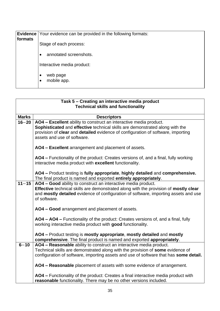| formats | <b>Evidence</b> Your evidence can be provided in the following formats: |
|---------|-------------------------------------------------------------------------|
|         | Stage of each process:                                                  |
|         | annotated screenshots.<br>$\bullet$                                     |
|         | Interactive media product:                                              |
|         | web page<br>$\bullet$<br>mobile app.<br>$\bullet$                       |

|              | Task 5 - Creating an interactive media product<br><b>Technical skills and functionality</b>                                                                                                                                                                           |
|--------------|-----------------------------------------------------------------------------------------------------------------------------------------------------------------------------------------------------------------------------------------------------------------------|
|              |                                                                                                                                                                                                                                                                       |
| <b>Marks</b> | <b>Descriptors</b>                                                                                                                                                                                                                                                    |
| $16 - 20$    | AO4 - Excellent ability to construct an interactive media product.<br>Sophisticated and effective technical skills are demonstrated along with the<br>provision of clear and detailed evidence of configuration of software, importing<br>assets and use of software. |
|              | AO4 - Excellent arrangement and placement of assets.                                                                                                                                                                                                                  |
|              | AO4 - Functionality of the product: Creates versions of, and a final, fully working<br>interactive media product with excellent functionality.                                                                                                                        |
|              | AO4 - Product testing is fully appropriate, highly detailed and comprehensive.<br>The final product is named and exported entirely appropriately.                                                                                                                     |
| $11 - 15$    | AO4 - Good ability to construct an interactive media product.<br>Effective technical skills are demonstrated along with the provision of mostly clear<br>and mostly detailed evidence of configuration of software, importing assets and use<br>of software.          |
|              | AO4 - Good arrangement and placement of assets.                                                                                                                                                                                                                       |
|              | AO4 - AO4 - Functionality of the product: Creates versions of, and a final, fully<br>working interactive media product with good functionality.                                                                                                                       |
|              | AO4 - Product testing is mostly appropriate, mostly detailed and mostly<br>comprehensive. The final product is named and exported appropriately.                                                                                                                      |
| $6 - 10$     | AO4 - Reasonable ability to construct an interactive media product.                                                                                                                                                                                                   |
|              | Technical skills are demonstrated along with the provision of some evidence of                                                                                                                                                                                        |
|              | configuration of software, importing assets and use of software that has some detail.                                                                                                                                                                                 |
|              | AO4 - Reasonable placement of assets with some evidence of arrangement.                                                                                                                                                                                               |
|              | AO4 - Functionality of the product: Creates a final interactive media product with<br>reasonable functionality. There may be no other versions included.                                                                                                              |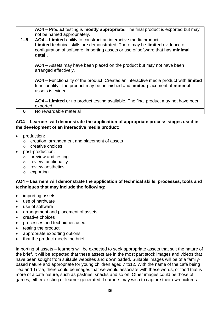|         | AO4 - Product testing is mostly appropriate. The final product is exported but may                                                                                                                                                            |
|---------|-----------------------------------------------------------------------------------------------------------------------------------------------------------------------------------------------------------------------------------------------|
|         | not be named appropriately.                                                                                                                                                                                                                   |
| $1 - 5$ | AO4 – Limited ability to construct an interactive media product.<br>Limited technical skills are demonstrated. There may be limited evidence of<br>configuration of software, importing assets or use of software that has minimal<br>detail. |
|         | AO4 – Assets may have been placed on the product but may not have been<br>arranged effectively.                                                                                                                                               |
|         | AO4 – Functionality of the product: Creates an interactive media product with limited<br>functionality. The product may be unfinished and limited placement of minimal<br>assets is evident.                                                  |
|         | AO4 – Limited or no product testing available. The final product may not have been<br>exported.                                                                                                                                               |
|         | No rewardable material                                                                                                                                                                                                                        |

# **AO4 – Learners will demonstrate the application of appropriate process stages used in the development of an interactive media product:**

- production:
	- o creation, arrangement and placement of assets
	- o creative choices
- post-production:
	- o preview and testing
	- o review functionality
	- o review aesthetics
	- o exporting.

# **AO4 – Learners will demonstrate the application of technical skills, processes, tools and techniques that may include the following:**

- importing assets
- use of hardware
- use of software
- arrangement and placement of assets
- creative choices
- processes and techniques used
- testing the product
- appropriate exporting options
- that the product meets the brief.

Importing of assets – learners will be expected to seek appropriate assets that suit the nature of the brief. It will be expected that these assets are in the most part stock images and videos that have been sought from suitable websites and downloaded. Suitable images will be of a familybased nature and appropriate for young children aged 7 to12. With the name of the café being Tea and Trivia, there could be images that we would associate with these words, or food that is more of a café nature, such as pastries, snacks and so on. Other images could be those of games, either existing or learner generated. Learners may wish to capture their own pictures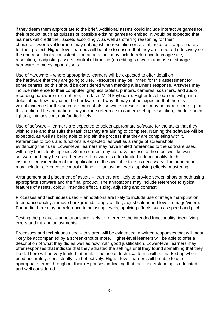if they deem them appropriate to the brief. Additional assets could include interactive games for their product, such as quizzes or possible existing games to embed. It would be expected that learners will credit their assets accordingly, as well as offering reasoning for their choices. Lower-level learners may not adjust the resolution or size of the assets appropriately for their project. Higher-level learners will be able to ensure that they are imported effectively so the end result looks consistent. The annotations may include reference to image size, resolution, readjusting assets, control of timeline (on editing software) and use of storage hardware to move/import assets.

Use of hardware – where appropriate, learners will be expected to offer detail on the hardware that they are going to use. Resources may be limited for this assessment for some centres, so this should be considered when marking a learner's response. Answers may include reference to their computer, graphics tablets, printers, cameras, scanners, and audio recording hardware (microphone, interface, MIDI keyboard). Higher-level learners will go into detail about how they used the hardware and why. It may not be expected that there is visual evidence for this such as screenshots, so written descriptions may be more occurring for this section. The annotations may include reference to camera set up, resolution, shutter speed, lighting, mic position, gain/audio levels.

Use of software – learners are expected to select appropriate software for the tasks that they wish to use and that suits the task that they are aiming to complete. Naming the software will be expected, as well as being able to explain the process that they are completing with it. References to tools and functions is expected, as well as a range of screenshots evidencing their use. Lower-level learners may have limited references to the software uses, with only basic tools applied. Some centres may not have access to the most well-known software and may be using freeware. Freeware is often limited in functionality. In this instance, consideration of the application of the available tools is necessary. The annotations may include reference to control of timeline, adjusting levels, applying effects, mastering.

Arrangement and placement of assets – learners are likely to provide screen shots of both using appropriate software and the final product. The annotations may include reference to typical features of assets, colour, intended effect, sizing, adjusting and contrast.

Processes and techniques used – annotations are likely to include use of image manipulation to enhance quality, remove backgrounds, apply a filter, adjust colour and levels (image/video). For audio there may be reference to adjusting levels, applying effects such as speed and pitch.

Testing the product – annotations are likely to reference the intended functionality, identifying errors and making adjustments.

Processes and techniques used – this area will be evidenced in written responses that will most likely be accompanied by a screen-shot or more. Higher-level learners will be able to offer a description of what they did as well as how, with good justification. Lower-level learners may offer responses that indicate that they adjusted the settings until they found something that they liked. There will be very limited rationale. The use of technical terms will be marked up when used accurately, consistently, and effectively. Higher-level learners will be able to use appropriate terms throughout their responses, indicating that their understanding is educated and well considered.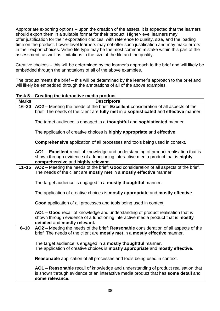Appropriate exporting options – upon the creation of the assets, it is expected that the learners should export them in a suitable format for their product. Higher-level learners may offer justification for their exportation choices, with reference to quality, size, and the loading time on the product. Lower-level learners may not offer such justification and may make errors in their export choices. Video file type may be the most common mistake within this part of the assessment, as well as limitations in the size of the file and the quality.

Creative choices – this will be determined by the learner's approach to the brief and will likely be embedded through the annotations of all of the above examples.

The product meets the brief – this will be determined by the learner's approach to the brief and will likely be embedded through the annotations of all of the above examples.

|              | Task 5 – Creating the interactive media product                                                                                                                              |
|--------------|------------------------------------------------------------------------------------------------------------------------------------------------------------------------------|
| <b>Marks</b> | <b>Descriptors</b>                                                                                                                                                           |
| $16 - 20$    | AO2 - Meeting the needs of the brief: Excellent consideration of all aspects of the<br>brief. The needs of the client are fully met in a sophisticated and effective manner. |
|              |                                                                                                                                                                              |
|              | The target audience is engaged in a thoughtful and sophisticated manner.                                                                                                     |
|              | The application of creative choices is highly appropriate and effective.                                                                                                     |
|              | <b>Comprehensive</b> application of all processes and tools being used in context.                                                                                           |
|              | AO1 - Excellent recall of knowledge and understanding of product realisation that is                                                                                         |
|              | shown through evidence of a functioning interactive media product that is highly<br>comprehensive and highly relevant.                                                       |
| $11 - 15$    | AO2 - Meeting the needs of the brief: Good consideration of all aspects of the brief.                                                                                        |
|              | The needs of the client are mostly met in a mostly effective manner.                                                                                                         |
|              |                                                                                                                                                                              |
|              | The target audience is engaged in a <b>mostly thoughtful</b> manner.                                                                                                         |
|              | The application of creative choices is mostly appropriate and mostly effective.                                                                                              |
|              | Good application of all processes and tools being used in context.                                                                                                           |
|              | AO1 - Good recall of knowledge and understanding of product realisation that is                                                                                              |
|              | shown through evidence of a functioning interactive media product that is mostly<br>detailed and mostly relevant.                                                            |
| $6 - 10$     | AO2 - Meeting the needs of the brief: Reasonable consideration of all aspects of the                                                                                         |
|              | brief. The needs of the client are mostly met in a mostly effective manner.                                                                                                  |
|              |                                                                                                                                                                              |
|              | The target audience is engaged in a mostly thoughtful manner.                                                                                                                |
|              | The application of creative choices is mostly appropriate and mostly effective.                                                                                              |
|              | Reasonable application of all processes and tools being used in context.                                                                                                     |
|              | AO1 - Reasonable recall of knowledge and understanding of product realisation that                                                                                           |
|              | is shown through evidence of an interactive media product that has some detail and                                                                                           |
|              | some relevance.                                                                                                                                                              |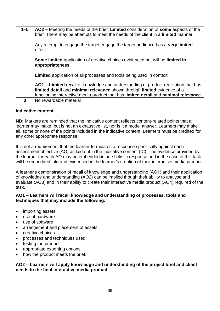| $1 - 5$ | AO2 – Meeting the needs of the brief: Limited consideration of some aspects of the<br>brief. There may be attempts to meet the needs of the client in a limited manner.                                                                                 |
|---------|---------------------------------------------------------------------------------------------------------------------------------------------------------------------------------------------------------------------------------------------------------|
|         | Any attempt to engage the target engage the target audience has a very limited<br>effect.                                                                                                                                                               |
|         | Some limited application of creative choices evidenced but will be limited in<br>appropriateness.                                                                                                                                                       |
|         | <b>Limited</b> application of all processes and tools being used in context.                                                                                                                                                                            |
|         | AO1 – Limited recall of knowledge and understanding of product realisation that has<br>limited detail and minimal relevance shown through limited evidence of a<br>functioning interactive media product that has limited detail and minimal relevance. |
|         | No rewardable material                                                                                                                                                                                                                                  |

#### **Indicative content**

**NB:** Markers are reminded that the indicative content reflects content-related points that a learner may make, but is not an exhaustive list, nor is it a model answer. Learners may make all, some or none of the points included in the indicative content. Learners must be credited for any other appropriate response.

It is not a requirement that the learner formulates a response specifically against each assessment objective (AO) as laid out in the indicative content (IC). The evidence provided by the learner for each AO may be embedded in one holistic response and in the case of this task will be embedded into and evidenced in the learner's creation of their interactive media product.

A learner's demonstration of recall of knowledge and understanding (AO1) and their application of knowledge and understanding (AO2) can be implied though their ability to analyse and evaluate (AO3) and in their ability to create their interactive media product (AO4) required of the task.

#### **AO1 – Learners will recall knowledge and understanding of processes, tools and techniques that may include the following:**

- importing assets
- use of hardware
- use of software
- arrangement and placement of assets
- creative choices
- processes and techniques used
- testing the product
- appropriate exporting options
- how the product meets the brief.

#### **AO2 – Learners will apply knowledge and understanding of the project brief and client needs to the final interactive media product.**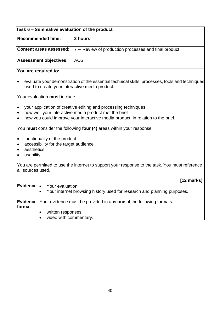|                                                                              |                                                                       | Task 6 - Summative evaluation of the product                                                                                                                                                               |
|------------------------------------------------------------------------------|-----------------------------------------------------------------------|------------------------------------------------------------------------------------------------------------------------------------------------------------------------------------------------------------|
| <b>Recommended time:</b>                                                     |                                                                       | 2 hours                                                                                                                                                                                                    |
| <b>Content areas assessed:</b>                                               |                                                                       | 7 - Review of production processes and final product                                                                                                                                                       |
|                                                                              | <b>Assessment objectives:</b>                                         | AO <sub>5</sub>                                                                                                                                                                                            |
|                                                                              | You are required to:                                                  |                                                                                                                                                                                                            |
|                                                                              |                                                                       | evaluate your demonstration of the essential technical skills, processes, tools and techniques<br>used to create your interactive media product.                                                           |
|                                                                              | Your evaluation must include:                                         |                                                                                                                                                                                                            |
| $\bullet$<br>$\bullet$<br>$\bullet$                                          |                                                                       | your application of creative editing and processing techniques<br>how well your interactive media product met the brief<br>how you could improve your interactive media product, in relation to the brief. |
|                                                                              |                                                                       | You must consider the following four (4) areas within your response:                                                                                                                                       |
| $\bullet$<br>$\bullet$<br>aesthetics<br>$\bullet$<br>usability.<br>$\bullet$ | functionality of the product<br>accessibility for the target audience |                                                                                                                                                                                                            |
| all sources used.                                                            |                                                                       | You are permitted to use the internet to support your response to the task. You must reference                                                                                                             |
|                                                                              |                                                                       | [12 marks]                                                                                                                                                                                                 |
| Evidence $\cdot$                                                             | Your evaluation.                                                      | Your internet browsing history used for research and planning purposes.                                                                                                                                    |
| <b>Evidence</b><br>format                                                    |                                                                       | Your evidence must be provided in any one of the following formats:                                                                                                                                        |
|                                                                              | written responses<br>video with commentary.                           |                                                                                                                                                                                                            |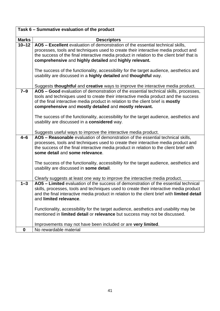| Task 6 - Summative evaluation of the product |                                                                                                                                                                                       |  |  |
|----------------------------------------------|---------------------------------------------------------------------------------------------------------------------------------------------------------------------------------------|--|--|
| <b>Marks</b>                                 | <b>Descriptors</b>                                                                                                                                                                    |  |  |
| $10 - 12$                                    | AO5 - Excellent evaluation of demonstration of the essential technical skills,                                                                                                        |  |  |
|                                              | processes, tools and techniques used to create their interactive media product and                                                                                                    |  |  |
|                                              | the success of the final interactive media product in relation to the client brief that is                                                                                            |  |  |
|                                              | comprehensive and highly detailed and highly relevant.                                                                                                                                |  |  |
|                                              | The success of the functionality, accessibility for the target audience, aesthetics and                                                                                               |  |  |
|                                              | usability are discussed in a highly detailed and thoughtful way.                                                                                                                      |  |  |
|                                              |                                                                                                                                                                                       |  |  |
| $7-9$                                        | Suggests thoughtful and creative ways to improve the interactive media product.<br>AO5 - Good evaluation of demonstration of the essential technical skills, processes,               |  |  |
|                                              | tools and techniques used to create their interactive media product and the success                                                                                                   |  |  |
|                                              | of the final interactive media product in relation to the client brief is mostly                                                                                                      |  |  |
|                                              | comprehensive and mostly detailed and mostly relevant.                                                                                                                                |  |  |
|                                              | The success of the functionality, accessibility for the target audience, aesthetics and                                                                                               |  |  |
|                                              | usability are discussed in a considered way.                                                                                                                                          |  |  |
|                                              |                                                                                                                                                                                       |  |  |
|                                              | Suggests useful ways to improve the interactive media product.                                                                                                                        |  |  |
| $4 - 6$                                      | AO5 - Reasonable evaluation of demonstration of the essential technical skills,<br>processes, tools and techniques used to create their interactive media product and                 |  |  |
|                                              | the success of the final interactive media product in relation to the client brief with                                                                                               |  |  |
|                                              | some detail and some relevance.                                                                                                                                                       |  |  |
|                                              |                                                                                                                                                                                       |  |  |
|                                              | The success of the functionality, accessibility for the target audience, aesthetics and<br>usability are discussed in some detail.                                                    |  |  |
|                                              |                                                                                                                                                                                       |  |  |
|                                              | Clearly suggests at least one way to improve the interactive media product.                                                                                                           |  |  |
| $1 - 3$                                      | AO5 - Limited evaluation of the success of demonstration of the essential technical                                                                                                   |  |  |
|                                              | skills, processes, tools and techniques used to create their interactive media product<br>and the final interactive media product in relation to the client brief with limited detail |  |  |
|                                              | and limited relevance.                                                                                                                                                                |  |  |
|                                              |                                                                                                                                                                                       |  |  |
|                                              | Functionality, accessibility for the target audience, aesthetics and usability may be<br>mentioned in limited detail or relevance but success may not be discussed.                   |  |  |
|                                              |                                                                                                                                                                                       |  |  |
|                                              | Improvements may not have been included or are very limited.                                                                                                                          |  |  |
| $\bf{0}$                                     | No rewardable material                                                                                                                                                                |  |  |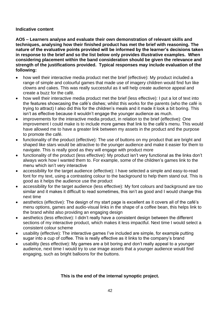#### **Indicative content**

**AO5 – Learners analyse and evaluate their own demonstration of relevant skills and techniques, analysing how their finished product has met the brief with reasoning. The nature of the evaluative points provided will be informed by the learner's decisions taken in response to the brief and so the list below only provides illustrative examples. When considering placement within the band consideration should be given the relevance and strength of the justifications provided. Typical responses may include evaluation of the following:** 

- how well their interactive media product met the brief (effective): My product included a range of simple and colourful games that made use of imagery children would find fun like clowns and cakes. This was really successful as it will help create audience appeal and create a buzz for the café.
- how well their interactive media product met the brief (less effective): I put a lot of text into the features showcasing the café's dishes; whilst this works for the parents (who the café is trying to attract) I also did this for the children's meals and it made it look a bit boring. This isn't as effective because it wouldn't engage the younger audience as much.
- improvements for the interactive media product, in relation to the brief (effective): One improvement I could make is to include more games that link to the café's menu. This would have allowed me to have a greater link between my assets in the product and the purpose to promote the café.
- functionality of the product (effective): The use of buttons on my product that are bright and shaped like stars would be attractive to the younger audience and make it easier for them to navigate. This is really good as they will engage with product more
- functionality of the product (less effective): My product isn't very functional as the links don't always work how I wanted them to. For example, some of the children's games link to the menu which isn't very interactive
- accessibility for the target audience (effective): I have selected a simple and easy-to-read font for my text, using a contrasting colour to the background to help them stand out. This is good as it helps the audience use the product
- accessibility for the target audience (less effective): My font colours and background are too similar and it makes it difficult to read sometimes, this isn't as good and I would change this next time
- aesthetics (effective): The design of my start page is excellent as it covers all of the café's menu options, games and audio-visual links in the shape of a coffee bean, this helps link to the brand whilst also providing an engaging design
- aesthetics (less effective): I didn't really have a consistent design between the different sections of my interactive product, which makes it less impactful. Next time I would select a consistent colour scheme
- usability (effective): The interactive games I've included are simple, for example putting sugar into a cup of coffee. This is really effective as it links to the company's brand
- usability (less effective): My games are a bit boring and don't really appeal to a younger audience, next time I would try to use image assets that a younger audience would find engaging, such as bright balloons for the buttons.

# **This is the end of the internal synoptic project.**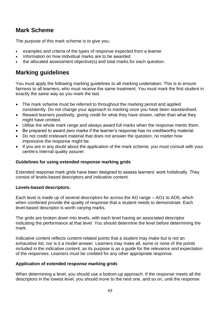# **Mark Scheme**

The purpose of this mark scheme is to give you:

- examples and criteria of the types of response expected from a learner
- information on how individual marks are to be awarded
- the allocated assessment objective(s) and total marks for each question.

# <span id="page-42-0"></span>**Marking guidelines**

You must apply the following marking guidelines to all marking undertaken. This is to ensure fairness to all learners, who must receive the same treatment. You must mark the first student in exactly the same way as you mark the last.

- The mark scheme must be referred to throughout the marking period and applied consistently. Do not change your approach to marking once you have been standardised.
- Reward learners positively, giving credit for what they have shown, rather than what they might have omitted.
- Utilise the whole mark range and always award full marks when the response merits them.
- Be prepared to award zero marks if the learner's response has no creditworthy material.
- Do not credit irrelevant material that does not answer the question, no matter how impressive the response might be.
- If you are in any doubt about the application of the mark scheme, you must consult with your centre's internal quality assurer.

# **Guidelines for using extended response marking grids**

Extended response mark grids have been designed to assess learners' work holistically. They consist of levels-based descriptors and indicative content.

#### **Levels-based descriptors.**

Each level is made up of several descriptors for across the AO range – AO1 to AO5, which when combined provide the quality of response that a student needs to demonstrate. Each level-based descriptor is worth varying marks.

The grids are broken down into levels, with each level having an associated descriptor indicating the performance at that level. You should determine the level before determining the mark.

Indicative content reflects content-related points that a student may make but is not an exhaustive list, nor is it a model answer. Learners may make all, some or none of the points included in the indicative content, as its purpose is as a guide for the relevance and expectation of the responses. Learners must be credited for any other appropriate response.

# **Application of extended response marking grids**

When determining a level, you should use a bottom-up approach. If the response meets all the descriptors in the lowest level, you should move to the next one, and so on, until the response